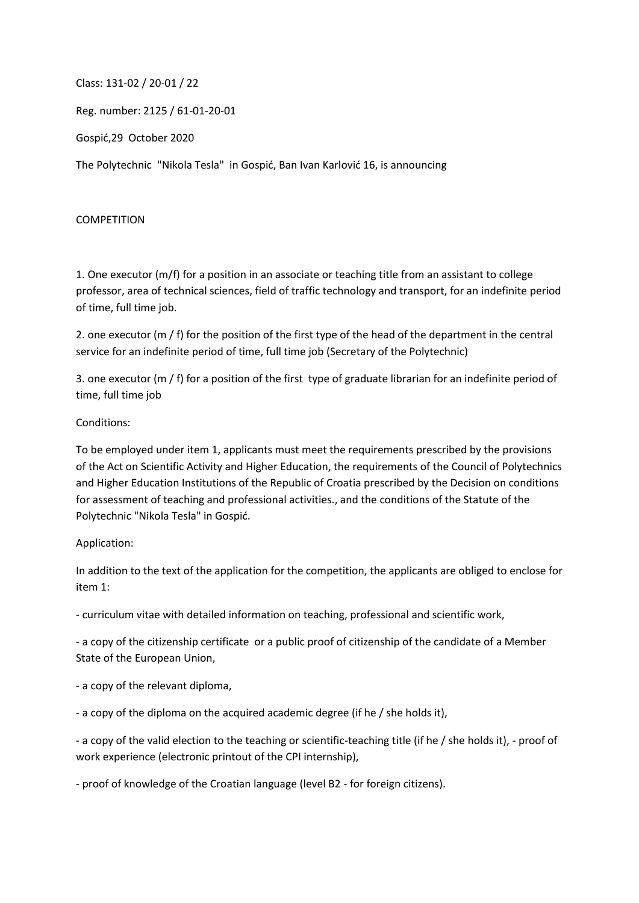Class: 131-02 / 20-01 / 22

Reg. number: 2125 / 61-01-20-01

Gospić,29 October 2020

The Polytechnic "Nikola Tesla" in Gospić, Ban Ivan Karlović 16, is announcing

## COMPETITION

1. One executor (m/f) for a position in an associate or teaching title from an assistant to college professor, area of technical sciences, field of traffic technology and transport, for an indefinite period of time, full time job.

2. one executor (m / f) for the position of the first type of the head of the department in the central service for an indefinite period of time, full time job (Secretary of the Polytechnic)

3. one executor (m / f) for a position of the first type of graduate librarian for an indefinite period of time, full time job

## Conditions:

To be employed under item 1, applicants must meet the requirements prescribed by the provisions of the Act on Scientific Activity and Higher Education, the requirements of the Council of Polytechnics and Higher Education Institutions of the Republic of Croatia prescribed by the Decision on conditions for assessment of teaching and professional activities., and the conditions of the Statute of the Polytechnic "Nikola Tesla" in Gospić.

## Application:

In addition to the text of the application for the competition, the applicants are obliged to enclose for item 1:

- curriculum vitae with detailed information on teaching, professional and scientific work,

- a copy of the citizenship certificate or a public proof of citizenship of the candidate of a Member State of the European Union,

- a copy of the relevant diploma,

- a copy of the diploma on the acquired academic degree (if he / she holds it),

- a copy of the valid election to the teaching or scientific-teaching title (if he / she holds it), - proof of work experience (electronic printout of the CPI internship),

- proof of knowledge of the Croatian language (level B2 - for foreign citizens).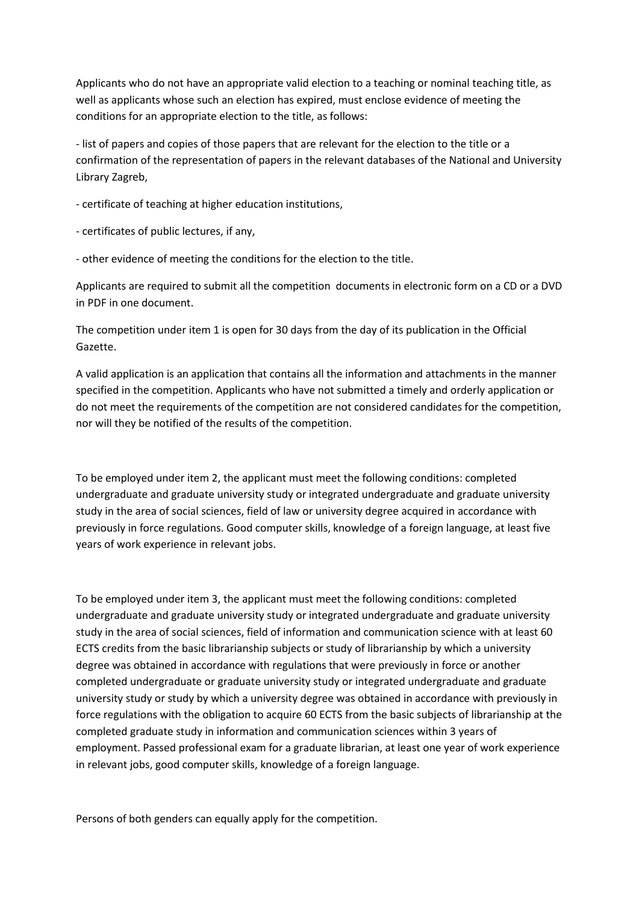Applicants who do not have an appropriate valid election to a teaching or nominal teaching title, as well as applicants whose such an election has expired, must enclose evidence of meeting the conditions for an appropriate election to the title, as follows:

- list of papers and copies of those papers that are relevant for the election to the title or a confirmation of the representation of papers in the relevant databases of the National and University Library Zagreb,

- certificate of teaching at higher education institutions,

- certificates of public lectures, if any,

- other evidence of meeting the conditions for the election to the title.

Applicants are required to submit all the competition documents in electronic form on a CD or a DVD in PDF in one document.

The competition under item 1 is open for 30 days from the day of its publication in the Official Gazette.

A valid application is an application that contains all the information and attachments in the manner specified in the competition. Applicants who have not submitted a timely and orderly application or do not meet the requirements of the competition are not considered candidates for the competition, nor will they be notified of the results of the competition.

To be employed under item 2, the applicant must meet the following conditions: completed undergraduate and graduate university study or integrated undergraduate and graduate university study in the area of social sciences, field of law or university degree acquired in accordance with previously in force regulations. Good computer skills, knowledge of a foreign language, at least five years of work experience in relevant jobs.

To be employed under item 3, the applicant must meet the following conditions: completed undergraduate and graduate university study or integrated undergraduate and graduate university study in the area of social sciences, field of information and communication science with at least 60 ECTS credits from the basic librarianship subjects or study of librarianship by which a university degree was obtained in accordance with regulations that were previously in force or another completed undergraduate or graduate university study or integrated undergraduate and graduate university study or study by which a university degree was obtained in accordance with previously in force regulations with the obligation to acquire 60 ECTS from the basic subjects of librarianship at the completed graduate study in information and communication sciences within 3 years of employment. Passed professional exam for a graduate librarian, at least one year of work experience in relevant jobs, good computer skills, knowledge of a foreign language.

Persons of both genders can equally apply for the competition.